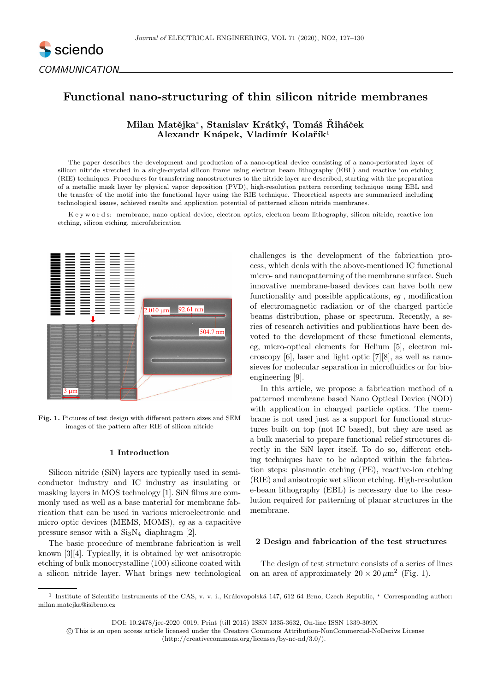

# Functional nano-structuring of thin silicon nitride membranes

Milan Matějka\*, Stanislav Krátký, Tomáš Řiháček Alexandr Knápek, Vladimír Kolařík<sup>1</sup>

The paper describes the development and production of a nano-optical device consisting of a nano-perforated layer of silicon nitride stretched in a single-crystal silicon frame using electron beam lithography (EBL) and reactive ion etching (RIE) techniques. Procedures for transferring nanostructures to the nitride layer are described, starting with the preparation of a metallic mask layer by physical vapor deposition (PVD), high-resolution pattern recording technique using EBL and the transfer of the motif into the functional layer using the RIE technique. Theoretical aspects are summarized including technological issues, achieved results and application potential of patterned silicon nitride membranes.

K e y w o r d s: membrane, nano optical device, electron optics, electron beam lithography, silicon nitride, reactive ion etching, silicon etching, microfabrication



Fig. 1. Pictures of test design with different pattern sizes and SEM images of the pattern after RIE of silicon nitride

# 1 Introduction

Silicon nitride (SiN) layers are typically used in semiconductor industry and IC industry as insulating or masking layers in MOS technology [1]. SiN films are commonly used as well as a base material for membrane fabrication that can be used in various microelectronic and micro optic devices (MEMS, MOMS), eg as a capacitive pressure sensor with a  $Si<sub>3</sub>N<sub>4</sub>$  diaphragm [2].

The basic procedure of membrane fabrication is well known [3][4]. Typically, it is obtained by wet anisotropic etching of bulk monocrystalline (100) silicone coated with a silicon nitride layer. What brings new technological challenges is the development of the fabrication process, which deals with the above-mentioned IC functional micro- and nanopatterning of the membrane surface. Such innovative membrane-based devices can have both new functionality and possible applications, eg , modification of electromagnetic radiation or of the charged particle beams distribution, phase or spectrum. Recently, a series of research activities and publications have been devoted to the development of these functional elements, eg, micro-optical elements for Helium [5], electron microscopy [6], laser and light optic [7][8], as well as nanosieves for molecular separation in microfluidics or for bioengineering [9].

In this article, we propose a fabrication method of a patterned membrane based Nano Optical Device (NOD) with application in charged particle optics. The membrane is not used just as a support for functional structures built on top (not IC based), but they are used as a bulk material to prepare functional relief structures directly in the SiN layer itself. To do so, different etching techniques have to be adapted within the fabrication steps: plasmatic etching (PE), reactive-ion etching (RIE) and anisotropic wet silicon etching. High-resolution e-beam lithography (EBL) is necessary due to the resolution required for patterning of planar structures in the membrane.

### 2 Design and fabrication of the test structures

The design of test structure consists of a series of lines on an area of approximately  $20 \times 20 \,\mu \text{m}^2$  (Fig. 1).

DOI: 10.2478/jee-2020–0019, Print (till 2015) ISSN 1335-3632, On-line ISSN 1339-309X

 c This is an open access article licensed under the Creative Commons Attribution-NonCommercial-NoDerivs License (http://creativecommons.org/licenses/by-nc-nd/3.0/).

<sup>&</sup>lt;sup>1</sup> Institute of Scientific Instruments of the CAS, v. v. i., Královopolská 147, 612 64 Brno, Czech Republic, \* Corresponding author: milan.matejka@isibrno.cz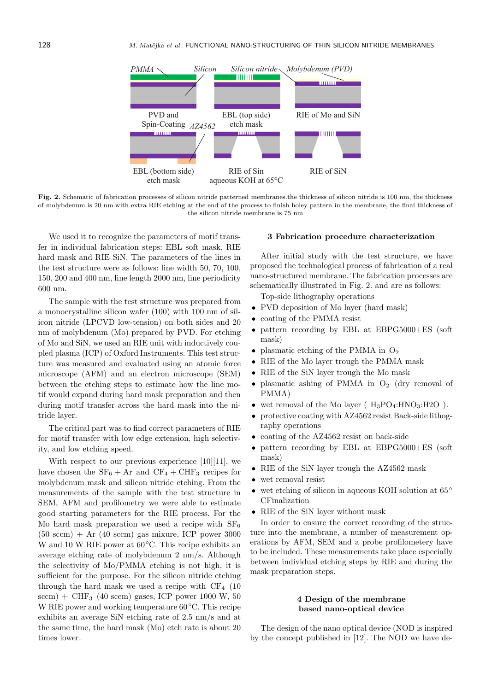

Fig. 2. Schematic of fabrication processes of silicon nitride patterned membranes.the thickness of silicon nitride is 100 nm, the thickness of molybdenum is 20 nm.with extra RIE etching at the end of the process to finish holey pattern in the membrane, the final thickness of the silicon nitride membrane is 75 nm

We used it to recognize the parameters of motif transfer in individual fabrication steps: EBL soft mask, RIE hard mask and RIE SiN. The parameters of the lines in the test structure were as follows: line width 50, 70, 100, 150, 200 and 400 nm, line length 2000 nm, line periodicity 600 nm.

The sample with the test structure was prepared from a monocrystalline silicon wafer (100) with 100 nm of silicon nitride (LPCVD low-tension) on both sides and 20 nm of molybdenum (Mo) prepared by PVD. For etching of Mo and SiN, we used an RIE unit with inductively coupled plasma (ICP) of Oxford Instruments. This test structure was measured and evaluated using an atomic force microscope (AFM) and an electron microscope (SEM) between the etching steps to estimate how the line motif would expand during hard mask preparation and then during motif transfer across the hard mask into the nitride layer.

The critical part was to find correct parameters of RIE for motif transfer with low edge extension, high selectivity, and low etching speed.

With respect to our previous experience  $[10][11]$ , we have chosen the  $SF_6 + Ar$  and  $CF_4 + CHF_3$  recipes for molybdenum mask and silicon nitride etching. From the measurements of the sample with the test structure in SEM, AFM and profilometry we were able to estimate good starting parameters for the RIE process. For the Mo hard mask preparation we used a recipe with  $SF_6$  $(50 \text{ sccm}) + Ar (40 \text{ sccm})$  gas mixure, ICP power 3000 W and 10 W RIE power at 60◦C. This recipe exhibits an average etching rate of molybdenum 2 nm/s. Although the selectivity of Mo/PMMA etching is not high, it is sufficient for the purpose. For the silicon nitride etching through the hard mask we used a recipe with  $CF_4$  (10)  $sccm$ ) + CHF<sub>3</sub> (40 sccm) gases, ICP power 1000 W, 50 W RIE power and working temperature 60◦C. This recipe exhibits an average SiN etching rate of 2.5 nm/s and at the same time, the hard mask (Mo) etch rate is about 20 times lower.

# 3 Fabrication procedure characterization

After initial study with the test structure, we have proposed the technological process of fabrication of a real nano-structured membrane. The fabrication processes are schematically illustrated in Fig. 2. and are as follows:

Top-side lithography operations

- PVD deposition of Mo layer (hard mask)
- coating of the PMMA resist
- pattern recording by EBL at EBPG5000+ES (soft mask)
- plasmatic etching of the PMMA in  $O_2$
- RIE of the Mo layer trough the PMMA mask
- RIE of the SiN layer trough the Mo mask
- plasmatic ashing of PMMA in  $O_2$  (dry removal of PMMA)
- wet removal of the Mo layer ( $H_3PO_4:HNO_3:H2O$ ).
- protective coating with AZ4562 resist Back-side lithography operations
- coating of the AZ4562 resist on back-side
- pattern recording by EBL at EBPG5000+ES (soft mask)
- RIE of the SiN layer trough the AZ4562 mask
- wet removal resist
- wet etching of silicon in aqueous KOH solution at 65 CFinalization
- RIE of the SiN layer without mask

In order to ensure the correct recording of the structure into the membrane, a number of measurement operations by AFM, SEM and a probe profilometery have to be included. These measurements take place especially between individual etching steps by RIE and during the mask preparation steps.

# 4 Design of the membrane based nano-optical device

The design of the nano optical device (NOD is inspired by the concept published in [12]. The NOD we have de-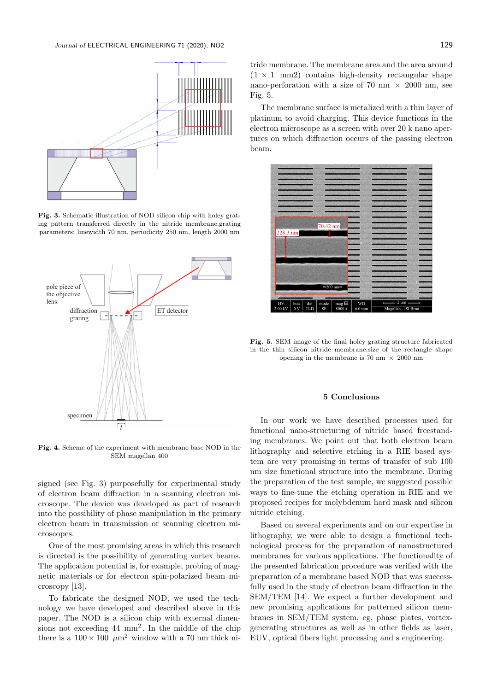

Fig. 3. Schematic illustration of NOD silicon chip with holey grating pattern transferred directly in the nitride membrane.grating parameters: linewidth 70 nm, periodicity 250 nm, length 2000 nm



Fig. 4. Scheme of the experiment with membrane base NOD in the SEM magellan 400

signed (see Fig. 3) purposefully for experimental study of electron beam diffraction in a scanning electron microscope. The device was developed as part of research into the possibility of phase manipulation in the primary electron beam in transmission or scanning electron microscopes.

One of the most promising areas in which this research is directed is the possibility of generating vortex beams. The application potential is, for example, probing of magnetic materials or for electron spin-polarized beam microscopy [13].

To fabricate the designed NOD, we used the technology we have developed and described above in this paper. The NOD is a silicon chip with external dimensions not exceeding 44 mm<sup>2</sup> . In the middle of the chip there is a  $100 \times 100 \mu m^2$  window with a 70 nm thick ni-

tride membrane. The membrane area and the area around  $(1 \times 1 \text{ mm2})$  contains high-density rectangular shape nano-perforation with a size of 70 nm  $\times$  2000 nm, see Fig. 5.

The membrane surface is metalized with a thin layer of platinum to avoid charging. This device functions in the electron microscope as a screen with over 20 k nano apertures on which diffraction occurs of the passing electron beam.



Fig. 5. SEM image of the final holey grating structure fabricated in the thin silicon nitride membrane.size of the rectangle shape opening in the membrane is 70 nm  $\times$  2000 nm

### 5 Conclusions

In our work we have described processes used for functional nano-structuring of nitride based freestanding membranes. We point out that both electron beam lithography and selective etching in a RIE based system are very promising in terms of transfer of sub 100 nm size functional structure into the membrane. During the preparation of the test sample, we suggested possible ways to fine-tune the etching operation in RIE and we proposed recipes for molybdenum hard mask and silicon nitride etching.

Based on several experiments and on our expertise in lithography, we were able to design a functional technological process for the preparation of nanostructured membranes for various applications. The functionality of the presented fabrication procedure was verified with the preparation of a membrane based NOD that was successfully used in the study of electron beam diffraction in the SEM/TEM [14]. We expect a further development and new promising applications for patterned silicon membranes in SEM/TEM system, eg, phase plates, vortexgenerating structures as well as in other fields as laser, EUV, optical fibers light processing and s engineering.